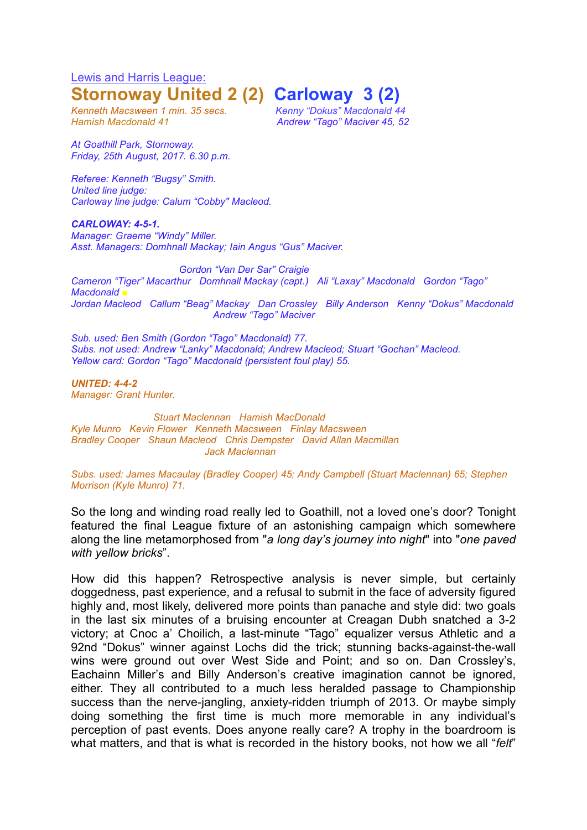Lewis and Harris League: **Stornoway United 2 (2) Carloway 3 (2)**

*Kenneth Macsween 1 min. 35 secs. Kenny "Dokus" Macdonald 44 Hamish Macdonald 41 Andrew "Tago" Maciver 45, 52*

*At Goathill Park, Stornoway. Friday, 25th August, 2017. 6.30 p.m.*

*Referee: Kenneth "Bugsy" Smith. United line judge: Carloway line judge: Calum "Cobby" Macleod.*

*CARLOWAY: 4-5-1. Manager: Graeme "Windy" Miller. Asst. Managers: Domhnall Mackay; Iain Angus "Gus" Maciver.*

*Gordon "Van Der Sar" Craigie Cameron "Tiger" Macarthur Domhnall Mackay (capt.) Ali "Laxay" Macdonald Gordon "Tago" Macdonald ■ Jordan Macleod Callum "Beag" Mackay Dan Crossley Billy Anderson Kenny "Dokus" Macdonald Andrew "Tago" Maciver*

*Sub. used: Ben Smith (Gordon "Tago" Macdonald) 77. Subs. not used: Andrew "Lanky" Macdonald; Andrew Macleod; Stuart "Gochan" Macleod. Yellow card: Gordon "Tago" Macdonald (persistent foul play) 55.*

*UNITED: 4-4-2 Manager: Grant Hunter.*

*Stuart Maclennan Hamish MacDonald Kyle Munro Kevin Flower Kenneth Macsween Finlay Macsween Bradley Cooper Shaun Macleod Chris Dempster David Allan Macmillan Jack Maclennan*

*Subs. used: James Macaulay (Bradley Cooper) 45; Andy Campbell (Stuart Maclennan) 65; Stephen Morrison (Kyle Munro) 71.*

So the long and winding road really led to Goathill, not a loved one's door? Tonight featured the final League fixture of an astonishing campaign which somewhere along the line metamorphosed from "*a long day's journey into night*" into "*one paved with yellow bricks*".

How did this happen? Retrospective analysis is never simple, but certainly doggedness, past experience, and a refusal to submit in the face of adversity figured highly and, most likely, delivered more points than panache and style did: two goals in the last six minutes of a bruising encounter at Creagan Dubh snatched a 3-2 victory; at Cnoc a' Choilich, a last-minute "Tago" equalizer versus Athletic and a 92nd "Dokus" winner against Lochs did the trick; stunning backs-against-the-wall wins were ground out over West Side and Point; and so on. Dan Crossley's, Eachainn Miller's and Billy Anderson's creative imagination cannot be ignored, either. They all contributed to a much less heralded passage to Championship success than the nerve-jangling, anxiety-ridden triumph of 2013. Or maybe simply doing something the first time is much more memorable in any individual's perception of past events. Does anyone really care? A trophy in the boardroom is what matters, and that is what is recorded in the history books, not how we all "*felt*"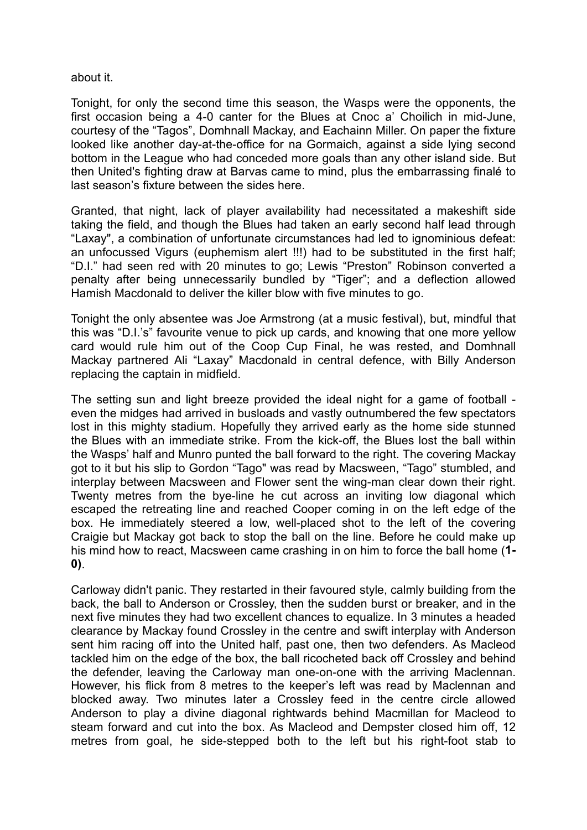## about it.

Tonight, for only the second time this season, the Wasps were the opponents, the first occasion being a 4-0 canter for the Blues at Cnoc a' Choilich in mid-June, courtesy of the "Tagos", Domhnall Mackay, and Eachainn Miller. On paper the fixture looked like another day-at-the-office for na Gormaich, against a side lying second bottom in the League who had conceded more goals than any other island side. But then United's fighting draw at Barvas came to mind, plus the embarrassing finalé to last season's fixture between the sides here.

Granted, that night, lack of player availability had necessitated a makeshift side taking the field, and though the Blues had taken an early second half lead through "Laxay", a combination of unfortunate circumstances had led to ignominious defeat: an unfocussed Vigurs (euphemism alert !!!) had to be substituted in the first half; "D.I." had seen red with 20 minutes to go; Lewis "Preston" Robinson converted a penalty after being unnecessarily bundled by "Tiger"; and a deflection allowed Hamish Macdonald to deliver the killer blow with five minutes to go.

Tonight the only absentee was Joe Armstrong (at a music festival), but, mindful that this was "D.I.'s" favourite venue to pick up cards, and knowing that one more yellow card would rule him out of the Coop Cup Final, he was rested, and Domhnall Mackay partnered Ali "Laxay" Macdonald in central defence, with Billy Anderson replacing the captain in midfield.

The setting sun and light breeze provided the ideal night for a game of football even the midges had arrived in busloads and vastly outnumbered the few spectators lost in this mighty stadium. Hopefully they arrived early as the home side stunned the Blues with an immediate strike. From the kick-off, the Blues lost the ball within the Wasps' half and Munro punted the ball forward to the right. The covering Mackay got to it but his slip to Gordon "Tago" was read by Macsween, "Tago" stumbled, and interplay between Macsween and Flower sent the wing-man clear down their right. Twenty metres from the bye-line he cut across an inviting low diagonal which escaped the retreating line and reached Cooper coming in on the left edge of the box. He immediately steered a low, well-placed shot to the left of the covering Craigie but Mackay got back to stop the ball on the line. Before he could make up his mind how to react, Macsween came crashing in on him to force the ball home (**1- 0)**.

Carloway didn't panic. They restarted in their favoured style, calmly building from the back, the ball to Anderson or Crossley, then the sudden burst or breaker, and in the next five minutes they had two excellent chances to equalize. In 3 minutes a headed clearance by Mackay found Crossley in the centre and swift interplay with Anderson sent him racing off into the United half, past one, then two defenders. As Macleod tackled him on the edge of the box, the ball ricocheted back off Crossley and behind the defender, leaving the Carloway man one-on-one with the arriving Maclennan. However, his flick from 8 metres to the keeper's left was read by Maclennan and blocked away. Two minutes later a Crossley feed in the centre circle allowed Anderson to play a divine diagonal rightwards behind Macmillan for Macleod to steam forward and cut into the box. As Macleod and Dempster closed him off, 12 metres from goal, he side-stepped both to the left but his right-foot stab to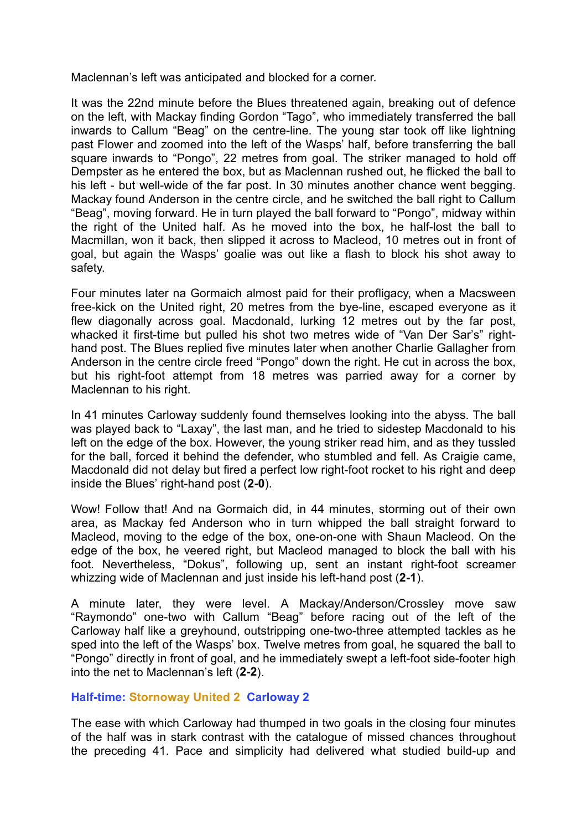Maclennan's left was anticipated and blocked for a corner.

It was the 22nd minute before the Blues threatened again, breaking out of defence on the left, with Mackay finding Gordon "Tago", who immediately transferred the ball inwards to Callum "Beag" on the centre-line. The young star took off like lightning past Flower and zoomed into the left of the Wasps' half, before transferring the ball square inwards to "Pongo", 22 metres from goal. The striker managed to hold off Dempster as he entered the box, but as Maclennan rushed out, he flicked the ball to his left - but well-wide of the far post. In 30 minutes another chance went begging. Mackay found Anderson in the centre circle, and he switched the ball right to Callum "Beag", moving forward. He in turn played the ball forward to "Pongo", midway within the right of the United half. As he moved into the box, he half-lost the ball to Macmillan, won it back, then slipped it across to Macleod, 10 metres out in front of goal, but again the Wasps' goalie was out like a flash to block his shot away to safety.

Four minutes later na Gormaich almost paid for their profligacy, when a Macsween free-kick on the United right, 20 metres from the bye-line, escaped everyone as it flew diagonally across goal. Macdonald, lurking 12 metres out by the far post, whacked it first-time but pulled his shot two metres wide of "Van Der Sar's" righthand post. The Blues replied five minutes later when another Charlie Gallagher from Anderson in the centre circle freed "Pongo" down the right. He cut in across the box, but his right-foot attempt from 18 metres was parried away for a corner by Maclennan to his right.

In 41 minutes Carloway suddenly found themselves looking into the abyss. The ball was played back to "Laxay", the last man, and he tried to sidestep Macdonald to his left on the edge of the box. However, the young striker read him, and as they tussled for the ball, forced it behind the defender, who stumbled and fell. As Craigie came, Macdonald did not delay but fired a perfect low right-foot rocket to his right and deep inside the Blues' right-hand post (**2-0**).

Wow! Follow that! And na Gormaich did, in 44 minutes, storming out of their own area, as Mackay fed Anderson who in turn whipped the ball straight forward to Macleod, moving to the edge of the box, one-on-one with Shaun Macleod. On the edge of the box, he veered right, but Macleod managed to block the ball with his foot. Nevertheless, "Dokus", following up, sent an instant right-foot screamer whizzing wide of Maclennan and just inside his left-hand post (**2-1**).

A minute later, they were level. A Mackay/Anderson/Crossley move saw "Raymondo" one-two with Callum "Beag" before racing out of the left of the Carloway half like a greyhound, outstripping one-two-three attempted tackles as he sped into the left of the Wasps' box. Twelve metres from goal, he squared the ball to "Pongo" directly in front of goal, and he immediately swept a left-foot side-footer high into the net to Maclennan's left (**2-2**).

## **Half-time: Stornoway United 2 Carloway 2**

The ease with which Carloway had thumped in two goals in the closing four minutes of the half was in stark contrast with the catalogue of missed chances throughout the preceding 41. Pace and simplicity had delivered what studied build-up and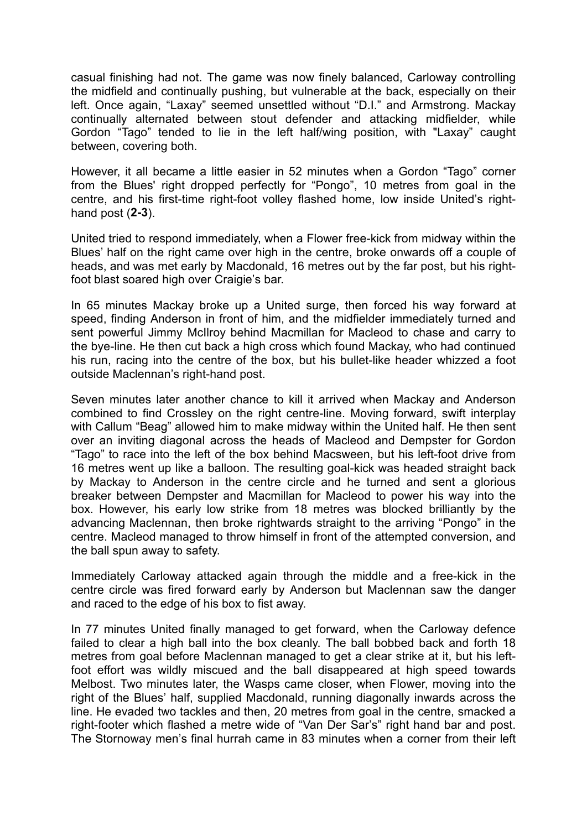casual finishing had not. The game was now finely balanced, Carloway controlling the midfield and continually pushing, but vulnerable at the back, especially on their left. Once again, "Laxay" seemed unsettled without "D.I." and Armstrong. Mackay continually alternated between stout defender and attacking midfielder, while Gordon "Tago" tended to lie in the left half/wing position, with "Laxay" caught between, covering both.

However, it all became a little easier in 52 minutes when a Gordon "Tago" corner from the Blues' right dropped perfectly for "Pongo", 10 metres from goal in the centre, and his first-time right-foot volley flashed home, low inside United's righthand post (**2-3**).

United tried to respond immediately, when a Flower free-kick from midway within the Blues' half on the right came over high in the centre, broke onwards off a couple of heads, and was met early by Macdonald, 16 metres out by the far post, but his rightfoot blast soared high over Craigie's bar.

In 65 minutes Mackay broke up a United surge, then forced his way forward at speed, finding Anderson in front of him, and the midfielder immediately turned and sent powerful Jimmy McIlroy behind Macmillan for Macleod to chase and carry to the bye-line. He then cut back a high cross which found Mackay, who had continued his run, racing into the centre of the box, but his bullet-like header whizzed a foot outside Maclennan's right-hand post.

Seven minutes later another chance to kill it arrived when Mackay and Anderson combined to find Crossley on the right centre-line. Moving forward, swift interplay with Callum "Beag" allowed him to make midway within the United half. He then sent over an inviting diagonal across the heads of Macleod and Dempster for Gordon "Tago" to race into the left of the box behind Macsween, but his left-foot drive from 16 metres went up like a balloon. The resulting goal-kick was headed straight back by Mackay to Anderson in the centre circle and he turned and sent a glorious breaker between Dempster and Macmillan for Macleod to power his way into the box. However, his early low strike from 18 metres was blocked brilliantly by the advancing Maclennan, then broke rightwards straight to the arriving "Pongo" in the centre. Macleod managed to throw himself in front of the attempted conversion, and the ball spun away to safety.

Immediately Carloway attacked again through the middle and a free-kick in the centre circle was fired forward early by Anderson but Maclennan saw the danger and raced to the edge of his box to fist away.

In 77 minutes United finally managed to get forward, when the Carloway defence failed to clear a high ball into the box cleanly. The ball bobbed back and forth 18 metres from goal before Maclennan managed to get a clear strike at it, but his leftfoot effort was wildly miscued and the ball disappeared at high speed towards Melbost. Two minutes later, the Wasps came closer, when Flower, moving into the right of the Blues' half, supplied Macdonald, running diagonally inwards across the line. He evaded two tackles and then, 20 metres from goal in the centre, smacked a right-footer which flashed a metre wide of "Van Der Sar's" right hand bar and post. The Stornoway men's final hurrah came in 83 minutes when a corner from their left